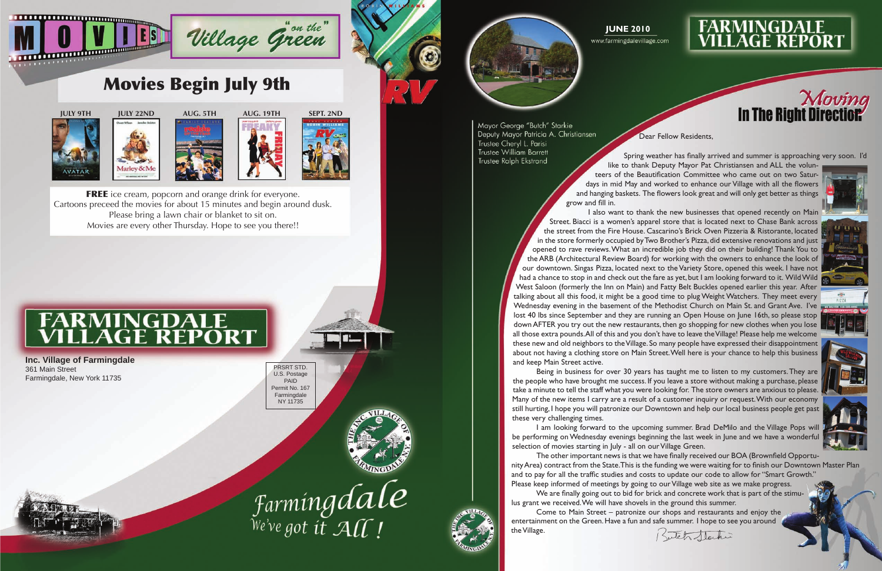



## **FARMINGDALE<br>VILLAGE REPORT**







Farmingdale



Mayor George "Butch" Starkie Deputy Mayor Patricia A. Christiansen Trustee Cheryl L. Parisi **Trustee William Barrett** Trustee Ralph Ekstrand

**Inc. Village of Farmingdale** 361 Main Street Farmingdale, New York 11735

Dear Fellow Residents,

Spring weather has finally arrived and summer is approaching very soon. I'd













like to thank Deputy Mayor Pat Christiansen and ALL the volunteers of the Beautification Committee who came out on two Saturdays in mid May and worked to enhance our Village with all the flowers and hanging baskets. The flowers look great and will only get better as things grow and fill in.

 I am looking forward to the upcoming summer. Brad DeMilo and the Village Pops will be performing on Wednesday evenings beginning the last week in June and we have a wonderful selection of movies starting in July - all on our Village Green.

 I also want to thank the new businesses that opened recently on Main Street. Biacci is a women's apparel store that is located next to Chase Bank across the street from the Fire House. Cascarino's Brick Oven Pizzeria & Ristorante, located in the store formerly occupied byTwo Brother's Pizza, did extensive renovations and just opened to rave reviews. What an incredible job they did on their building! Thank You to theARB (Architectural Review Board) for working with the owners to enhance the look of our downtown. Singas Pizza, located next to the Variety Store, opened this week. I have not had a chance to stop in and check out the fare as yet, but I am looking forward to it. Wild Wild West Saloon (formerly the Inn on Main) and Fatty Belt Buckles opened earlier this year. After talking about all this food, it might be a good time to plug Weight Watchers. They meet every Wednesday evening in the basement of the Methodist Church on Main St. and Grant Ave. I've lost 40 lbs since September and they are running an Open House on June 16th, so please stop down AFTER you try out the new restaurants, then go shopping for new clothes when you lose all those extra pounds.All of this and you don't have to leave theVillage! Please help me welcome these new and old neighbors to the Village. So many people have expressed their disappointment about not having a clothing store on Main Street.Well here is your chance to help this business and keep Main Street active.

 The other important news is that we have finally received our BOA (Brownfield OpportunityArea) contract from the State.This is the funding we were waiting for to finish our Downtown Master Plan and to pay for all the traffic studies and costs to update our code to allow for "Smart Growth." Please keep informed of meetings by going to our Village web site as we make progress.

**FREE** ice cream, popcorn and orange drink for everyone. Cartoons preceed the movies for about 15 minutes and begin around dusk. Please bring a lawn chair or blanket to sit on. Movies are every other Thursday. Hope to see you there!!

# **FARMINGDALE<br>VILLAGE REPORT**

 Being in business for over 30 years has taught me to listen to my customers.They are the people who have brought me success. If you leave a store without making a purchase, please take a minute to tell the staff what you were looking for. The store owners are anxious to please. Many of the new items I carry are a result of a customer inquiry or request.With our economy still hurting, I hope you will patronize our Downtown and help our local business people get past these very challenging times.

 We are finally going out to bid for brick and concrete work that is part of the stimulus grant we received.We will have shovels in the ground this summer. Come to Main Street – patronize our shops and restaurants and enjoy the

entertainment on the Green. Have a fun and safe summer. I hope to see you around the Village.





## Movies Begin July 9th